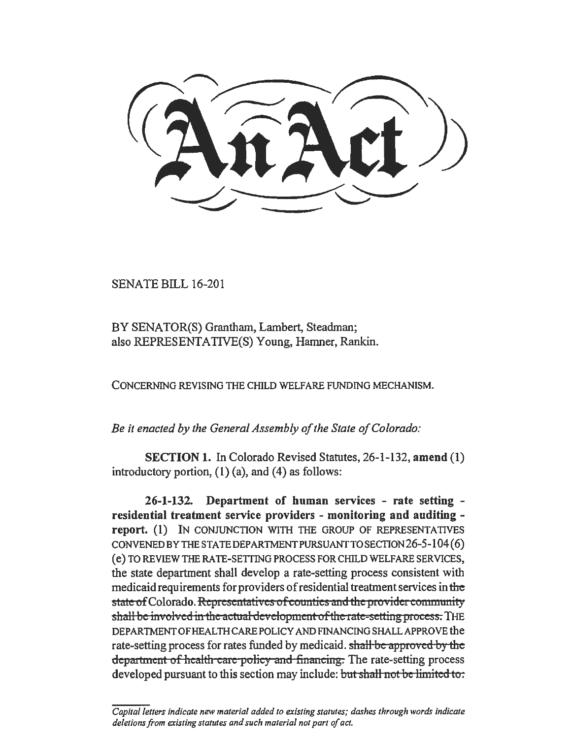SENATE BILL 16-201

BY SENATOR(S) Grantham, Lambert, Steadman; also REPRESENTATIVE(S) Young, Hamner, Rankin.

CONCERNING REVISING THE CHILD WELFARE FUNDING MECHANISM.

*Be it enacted by the General Assembly of the State of Colorado:* 

SECTION 1. In Colorado Revised Statutes, 26-1-132, amend (1) introductory portion,  $(1)$  (a), and  $(4)$  as follows:

26-1-132. Department of human services - rate setting residential treatment service providers - monitoring and auditing report. (1) IN CONJUNCTION WITH THE GROUP OF REPRESENTATIVES CONVENEDBYTHESTATEDEPARTMENTPURSUANTTOSECTION26-5-104(6) ( e) TO REVIEW THE RA TE-SETTING PROCESS FOR CHILD WELFARE SERVICES, the state department shall develop a rate-setting process consistent with medicaid requirements for providers of residential treatment services in the state of Colorado. Representatives of counties and the provider community shall be involved in the actual development of the rate-setting process. THE DEPARTMENT OF HEALTH CARE POLICY AND FINANCING SHALL APPROVE the rate-setting process for rates funded by medicaid. shall be approved by the department of health care policy and financing. The rate-setting process developed pursuant to this section may include: but shall not be limited to:

*Capital letters indicate new material added to existing statutes; dashes through words indicate deletions from existing statutes and such material not part of act.*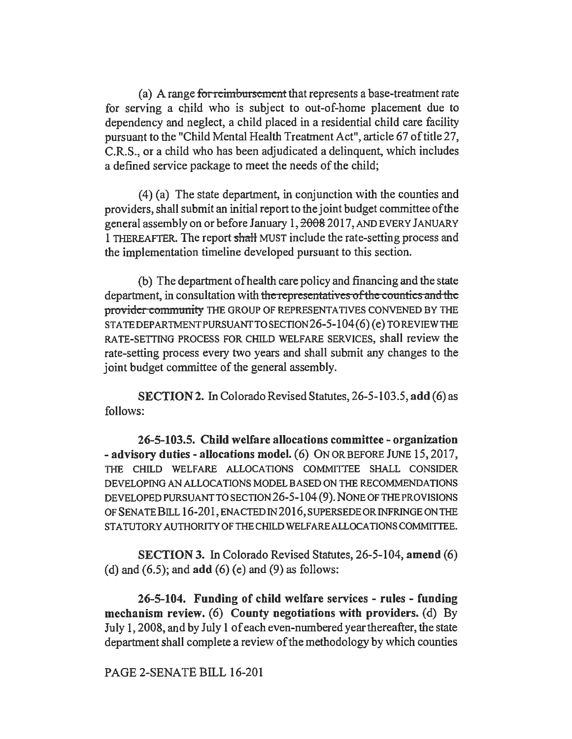(a) A range for reimbursement that represents a base-treatment rate for serving a child who is subject to out-of-home placement due to dependency and neglect, a child placed in a residential child care facility pursuant to the "Child Mental Health Treatment Act", article 67 of title 27, C.R.S., or a child who has been adjudicated a delinquent, which includes a defined service package to meet the needs of the child;

(4) (a) The state department, in conjunction with the counties and providers, shall submit an initial report to the joint budget committee of the general assembly on or before January 1,  $\frac{2008}{2017}$ , AND EVERY JANUARY 1 THEREAFTER. The report shall MUST include the rate-setting process and the implementation timeline developed pursuant to this section.

(b) The department of health care policy and financing and the state department, in consultation with the representatives of the counties and the provider community THE GROUP OF REPRESENTATIVES CONVENED BY THE STATEDEPARTMENTPURSUANTTOSECTION26-5-104(6)(e)TOREVIEWTHE RATE-SETTING PROCESS FOR CHILD WELFARE SERVICES, shall review the rate-setting process every two years and shall submit any changes to the joint budget committee of the general assembly.

SECTION 2. In Colorado Revised Statutes, 26-5-103.5, add (6) as follows:

26-5-103.5. Child welfare allocations committee- organization - advisory duties- allocations model. (6) ON OR BEFORE JUNE 15, 2017, THE CHILD WELFARE ALLOCATIONS COMMITTEE SHALL CONSIDER DEVELOPING AN ALLOCATIONS MODEL BASED ON THE RECOMMENDATIONS DEVELOPED PURSUANT TO SECTION 26-5-104 (9). NONE OF THE PROVISIONS OF SENA TE BILL 16-201, ENACTED IN 2016, SUPERSEDE OR INFRINGE ON THE STATUTORY AUTHORITY OF THE CHILD WELFARE ALLOCATIONS COMMITTEE.

SECTION 3. In Colorado Revised Statutes, 26-5-104, amend (6) (d) and  $(6.5)$ ; and  $add (6) (e)$  and  $(9)$  as follows:

26-5-104. Funding of child welfare services - rules - funding mechanism review. (6) County negotiations with providers. (d) By July 1, 2008, and by July 1 of each even-numbered year thereafter, the state department shall complete a review of the methodology by which counties

PAGE 2-SENATE BILL 16-201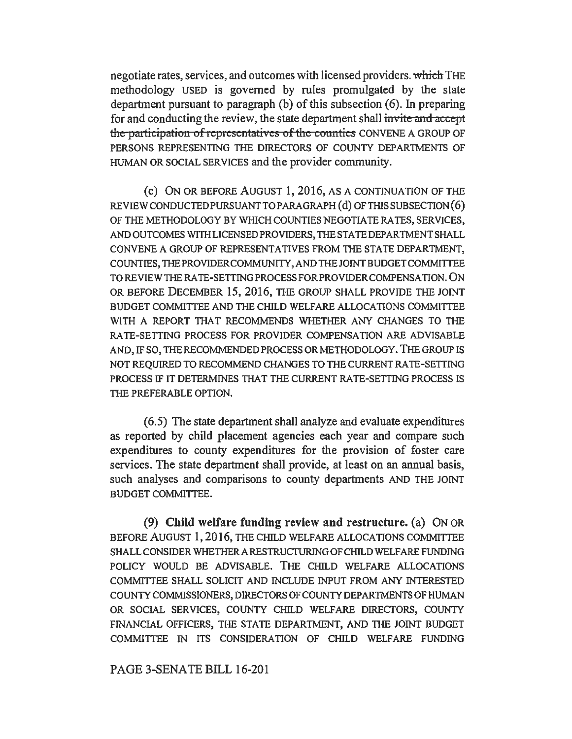negotiate rates, services, and outcomes with licensed providers. which THE methodology USED is governed by rules promulgated by the state department pursuant to paragraph (b) of this subsection (6). In preparing for and conducting the review, the state department shall invite and *accept*  the participation of representatives of the counties CONVENE A GROUP OF PERSONS REPRESENTING THE DIRECTORS OF COUNTY DEPARTMENTS OF HUMAN OR SOCIAL SERVICES and the provider community.

(e) ON OR BEFORE AUGUST 1, 2016, AS A CONTINUATION OF THE REVIEW CONDUCTED PURSUANT TO PARAGRAPH (d) OF THIS SUBSECTION (6) OF THE METHODOLOGY BY WHICH COUNTIES NEGOTIATE RA TES, SERVICES, AND OUTCOMES WITH LICENSED PROVIDERS, THE STATE DEPARTMENT SHALL CONVENE A GROUP OF REPRESENTATIVES FROM THE STATE DEPARTMENT, COUNTIES, TIIE PROVIDER COMMUNITY, AND THE JOINT BUDGET COMMITTEE TO REVIEW THE RA TE-SETTING PROCESS FOR PROVIDER COMPENSATION. ON OR BEFORE DECEMBER 15, 2016, THE GROUP SHALL PROVIDE THE JOINT BUDGET COMMITTEE AND THE CHILD WELFARE ALLOCATIONS COMMITTEE WITH A REPORT THAT RECOMMENDS WHETHER ANY CHANGES TO THE RATE-SETTING PROCESS FOR PROVIDER COMPENSATION ARE ADVISABLE AND, IF SO, THE RECOMMENDED PROCESS OR METHODOLOGY. THE GROUP IS NOT REQUIRED TO RECOMMEND CHANGES TO THE CURRENT RA TE-SETTING PROCESS IF IT DETERMINES THAT THE CURRENT RATE-SETTING PROCESS IS THE PREFERABLE OPTION.

(6.5) The state department shall analyze and evaluate expenditures as reported by child placement agencies each year and compare such expenditures to county expenditures for the provision of foster care services. The state department shall provide, at least on an annual basis, such analyses and comparisons to county departments AND THE JOINT BUDGET COMMITTEE.

(9) Child welfare funding review and restructure. (a) ON OR BEFORE AUGUST 1, 2016, THE CHILD WELFARE ALLOCATIONS COMMITTEE SHALL CONSIDER WHETHER A RESTRUCTURING OF CHILD WELFARE FUNDING POLICY WOULD BE ADVISABLE. THE CHILD WELFARE ALLOCATIONS COMMITTEE SHALL SOLICIT AND INCLUDE INPUT FROM ANY INTERESTED COUNTY COMMISSIONERS, DIRECTORS OF COUNTY DEPARTMENTS OF HUMAN OR SOCIAL SERVICES, COUNTY CHILD WELFARE DIRECTORS, COUNTY FINANCIAL OFFICERS, THE STATE DEPARTMENT, AND THE JOINT BUDGET COMMITTEE IN ITS CONSIDERATION OF CHILD WELFARE FUNDING

PAGE 3-SENATE BILL 16-201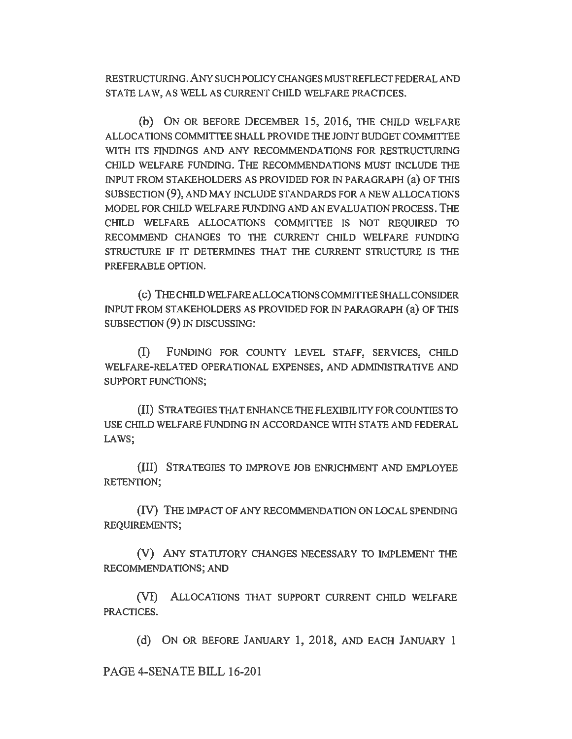RESTRUCTURING. ANY SUCH POLICY CHANGES MUST REFLECT FEDERAL AND STATE LAW, AS WELL AS CURRENT CHILD WELFARE PRACTICES.

(b) ON OR BEFORE DECEMBER 15, 2016, THE CHILD WELFARE ALLOCATIONS COMMITTEE SHALL PROVIDE THE JOINT BUDGET COMMITTEE WITH ITS FINDINGS AND ANY RECOMMENDATIONS FOR RESTRUCTURING CHILD WELFARE FUNDING. THE RECOMMENDATIONS MUST INCLUDE THE INPUT FROM STAKEHOLDERS AS PROVIDED FOR IN PARAGRAPH (a) OF THIS SUBSECTION (9), AND MAY INCLUDE STANDARDS FOR A NEW ALLOCATIONS MODEL FOR CHILD WELFARE FUNDING AND AN EVALUATION PROCESS. THE CHILD WELFARE ALLOCATIONS COMMITTEE IS NOT REQUIRED TO RECOMMEND CHANGES TO THE CURRENT CHILD WELFARE FUNDING STRUCTURE IF IT DETERMINES THAT THE CURRENT STRUCTURE IS THE PREFERABLE OPTION.

( c) THE CHILD WELFAREALLOCA TIONS COMMITTEE SHALL CONSIDER INPUT FROM STAKEHOLDERS AS PROVIDED FOR IN PARAGRAPH (a) OF THIS SUBSECTION (9) IN DISCUSSING:

(I) FUNDING FOR COUNTY LEVEL STAFF, SERVICES, CHILD WELFARE-RELATED OPERATIONAL EXPENSES, AND ADMINISTRATIVE AND SUPPORT FUNCTIONS;

(II) STRATEGIES THAT ENHANCE THE FLEXIBILITY FOR COUNTIES TO USE CHILD WELFARE FUNDING IN ACCORDANCE WITH STATE AND FEDERAL LAWS;

(III) STRATEGIES TO IMPROVE JOB ENRJCHMENT AND EMPLOYEE RETENTION;

(IV) THE IMPACT OF ANY RECOMMENDATION ON LOCAL SPENDING REQUIREMENTS;

(V) ANY STATUTORY CHANGES NECESSARY TO IMPLEMENT THE RECOMMENDATIONS; AND

(VI) ALLOCATIONS THAT SUPPORT CURRENT CHILD WELFARE PRACTICES.

(d) ON OR BEFORE JANUARY l, 2018, AND EACH JANUARY l

PAGE 4-SENATE BILL 16-201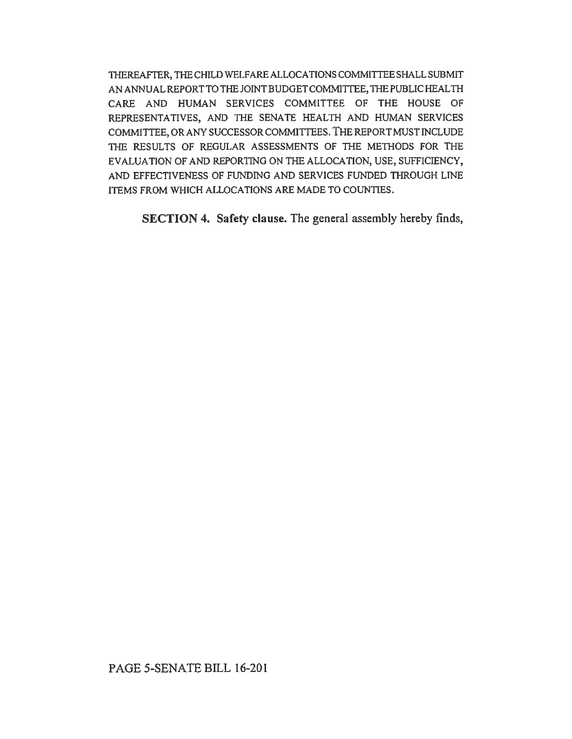TIIEREAFTER, THE CHILD WELFARE ALLOCATIONS COMMITTEE SHALL SUBMIT AN ANNUAL REPORT TO THE JOINT BUDGET COMMITTEE, THE PUBLIC HEALTH CARE AND HUMAN SERVICES COMMITTEE OF THE HOUSE OF REPRESENTATIVES, AND THE SENATE HEALTH AND HUMAN SERVICES COMMITIEE, OR ANY SUCCESSOR COMMITTEES. THE REPORT MUST INCLUDE THE RESULTS OF REGULAR ASSESSMENTS OF THE METHODS FOR THE EVALUATION OF AND REPORTING ON THE ALLOCATION, USE, SUFFICIENCY, AND EFFECTIVENESS OF FUNDING AND SERVICES FUNDED THROUGH LINE ITEMS FROM WHICH ALLOCATIONS ARE MADE TO COUNTIES.

SECTION 4. Safety clause. The general assembly hereby finds,